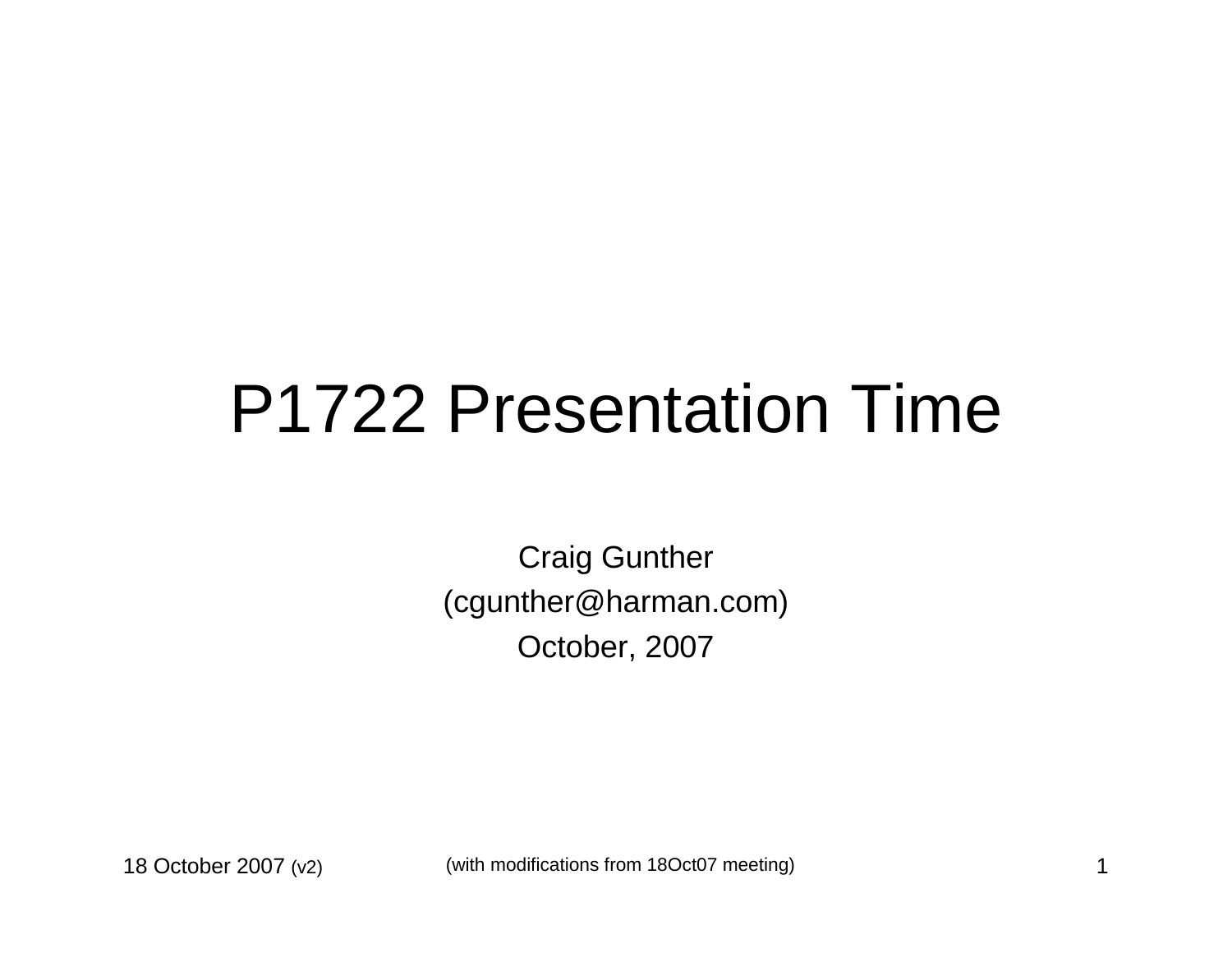### P1722 Presentation Time

Craig Gunther(cgunther@harman.com)October, 2007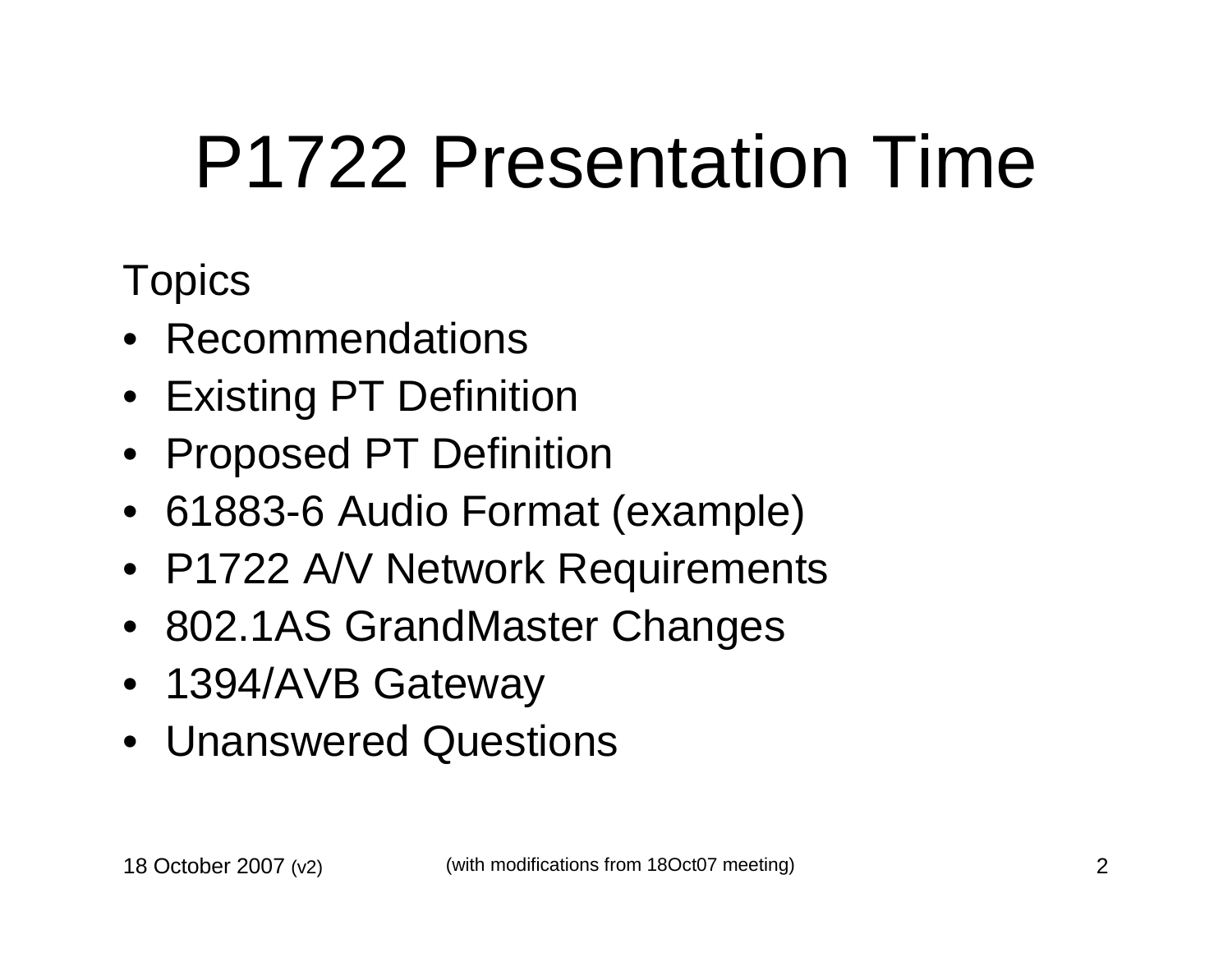# P1722 Presentation Time

#### **Topics**

- Recommendations
- Existing PT Definition
- Proposed PT Definition
- 61883-6 Audio Format (example)
- P1722 A/V Network Requirements
- 802.1AS GrandMaster Changes
- 1394/AVB Gateway
- Unanswered Questions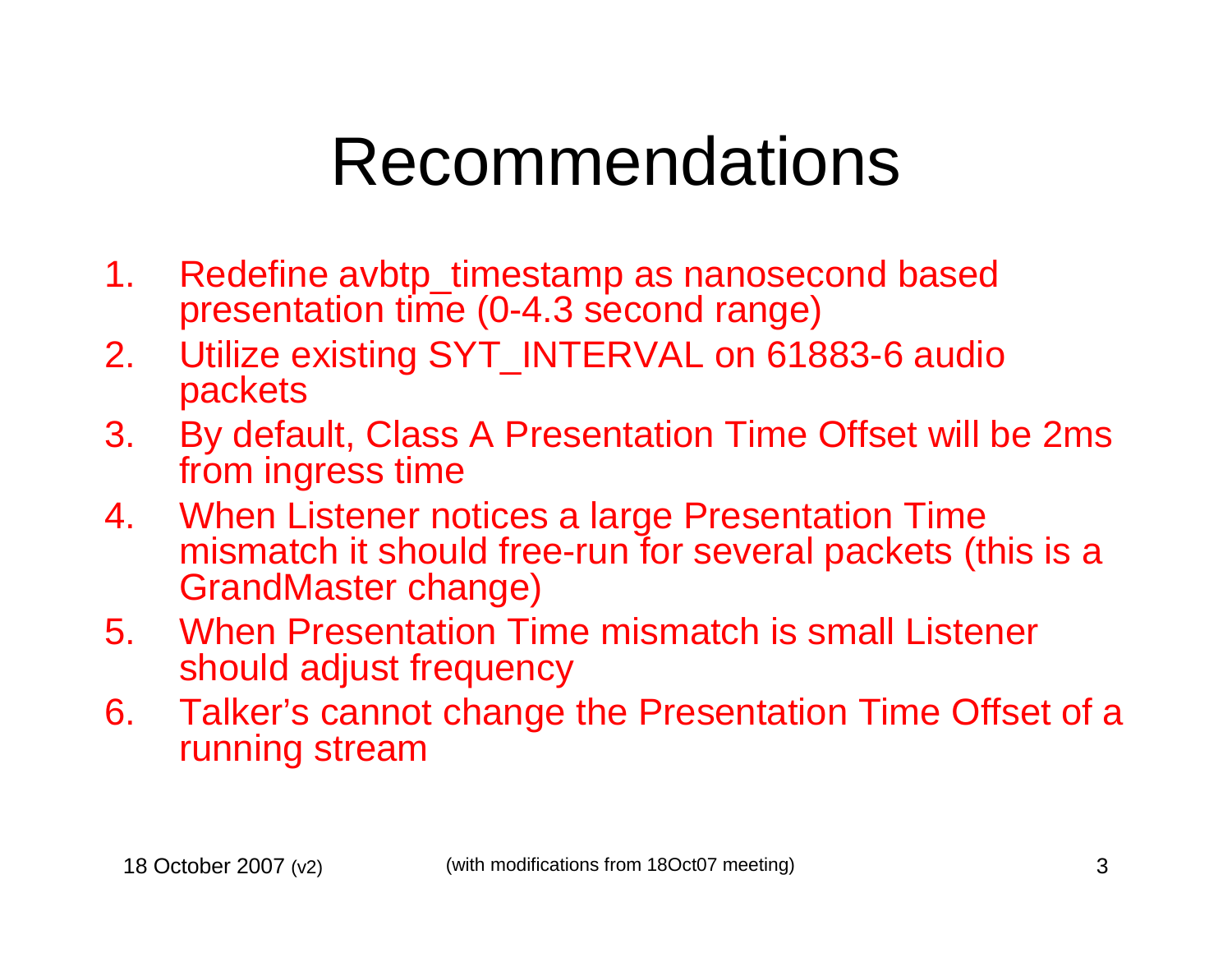### Recommendations

- 1. Redefine avbtp\_timestamp as nanosecond based presentation time (0-4.3 second range)
- 2. Utilize existing SYT\_INTERVAL on 61883-6 audio packets
- 3. By default, Class A Presentation Time Offset will be 2ms from ingress time
- 4. When Listener notices a large Presentation Time mismatch it should free-run for several packets (this is a GrandMaster change)
- 5. When Presentation Time mismatch is small Listenershould adjust frequency
- 6. Talker's cannot change the Presentation Time Offset of a running stream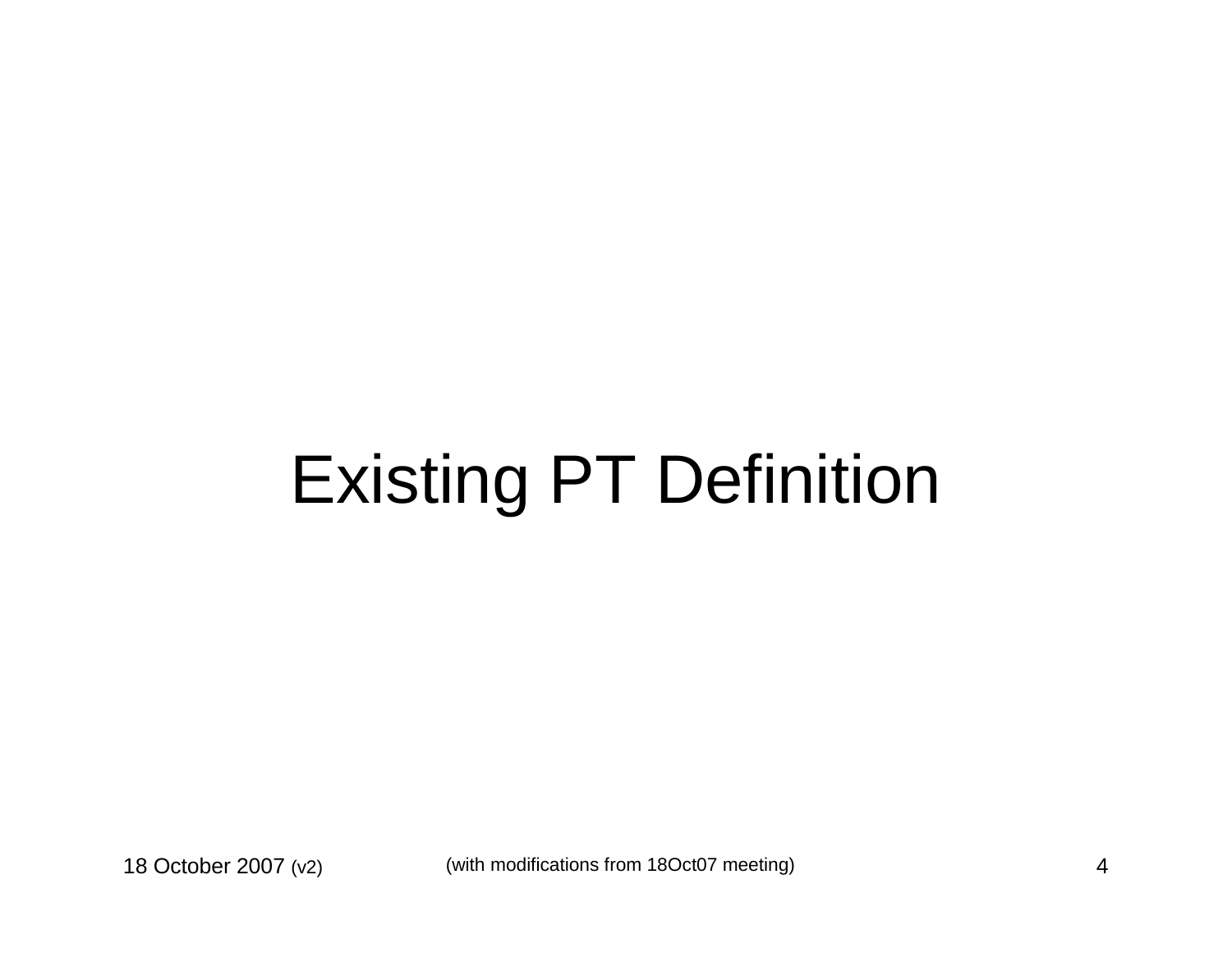# Existing PT Definition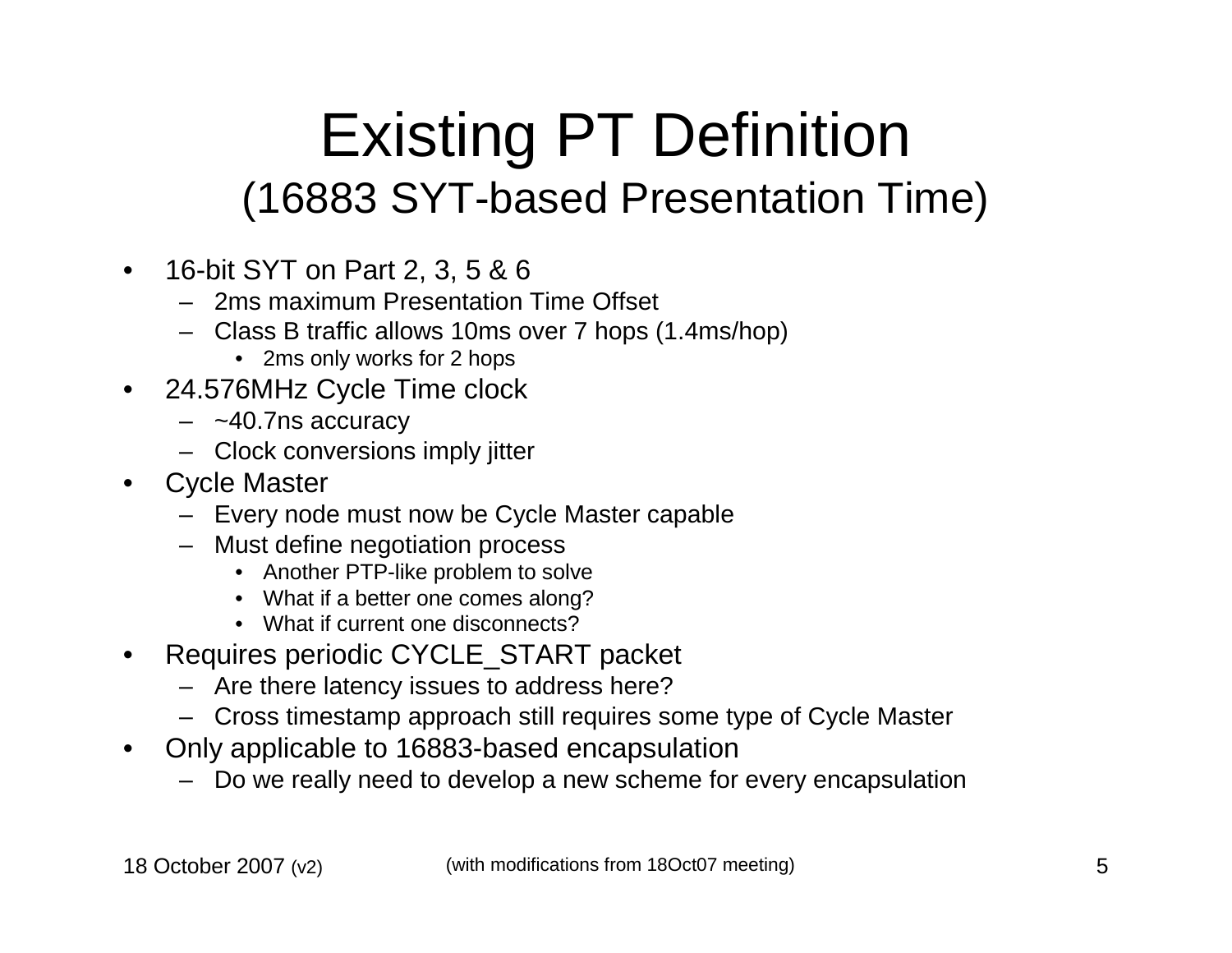#### Existing PT Definition (16883 SYT-based Presentation Time)

- 16-bit SYT on Part 2, 3, 5 & 6
	- 2ms maximum Presentation Time Offset
	- Class B traffic allows 10ms over 7 hops (1.4ms/hop)
		- 2ms only works for 2 hops
- 24.576MHz Cycle Time clock $\bullet$ 
	- ~40.7ns accuracy
	- Clock conversions imply jitter
- $\bullet$  Cycle Master
	- Every node must now be Cycle Master capable
	- Must define negotiation process
		- Another PTP-like problem to solve
		- What if a better one comes along?
		- What if current one disconnects?
- Requires periodic CYCLE\_START packet •
	- Are there latency issues to address here?
	- Cross timestamp approach still requires some type of Cycle Master
- $\bullet$  Only applicable to 16883-based encapsulation
	- Do we really need to develop a new scheme for every encapsulation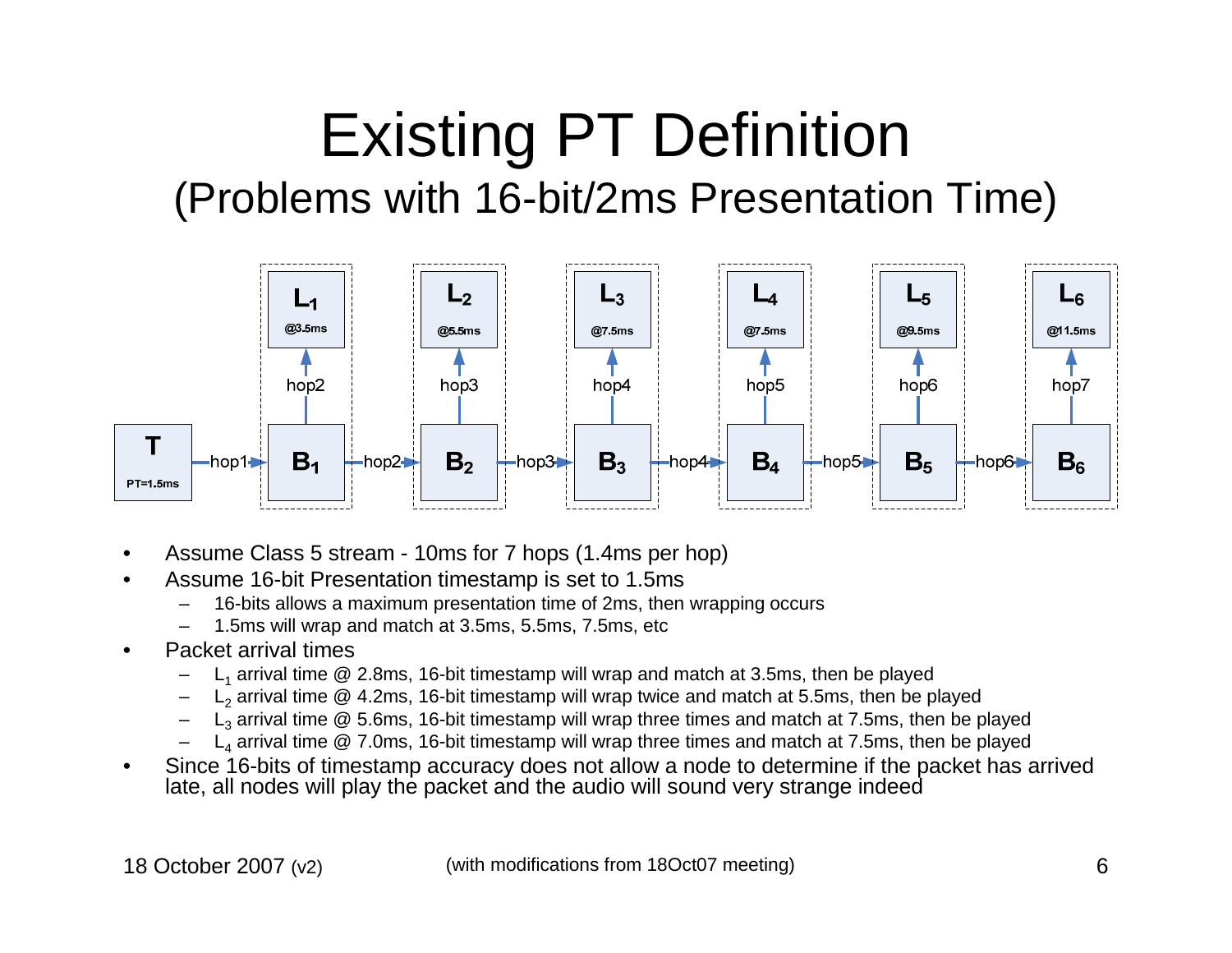#### Existing PT Definition (Problems with 16-bit/2ms Presentation Time)



- •Assume Class 5 stream - 10ms for 7 hops (1.4ms per hop)
- • Assume 16-bit Presentation timestamp is set to 1.5ms
	- 16-bits allows a maximum presentation time of 2ms, then wrapping occurs–
	- –1.5ms will wrap and match at 3.5ms, 5.5ms, 7.5ms, etc
- • Packet arrival times
	- $L_1$  arrival time @ 2.8ms, 16-bit timestamp will wrap and match at 3.5ms, then be played –
	- – $L_2$  arrival time @ 4.2ms, 16-bit timestamp will wrap twice and match at 5.5ms, then be played
	- – $L_3$  arrival time  $@$  5.6ms, 16-bit timestamp will wrap three times and match at 7.5ms, then be played
	- – $L_4$  arrival time  $@$  7.0ms, 16-bit timestamp will wrap three times and match at 7.5ms, then be played
- • Since 16-bits of timestamp accuracy does not allow a node to determine if the packet has arrived late, all nodes will play the packet and the audio will sound very strange indeed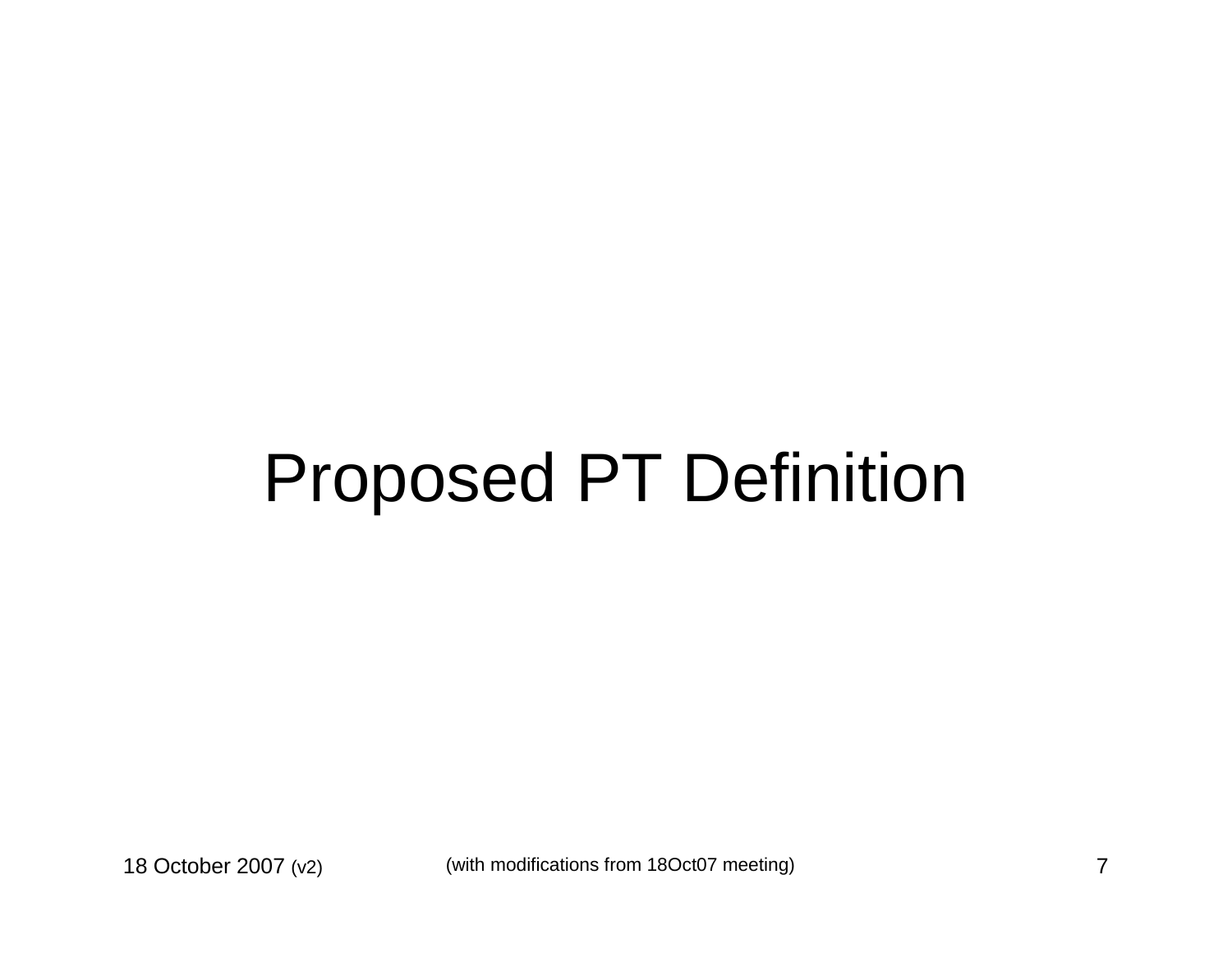### Proposed PT Definition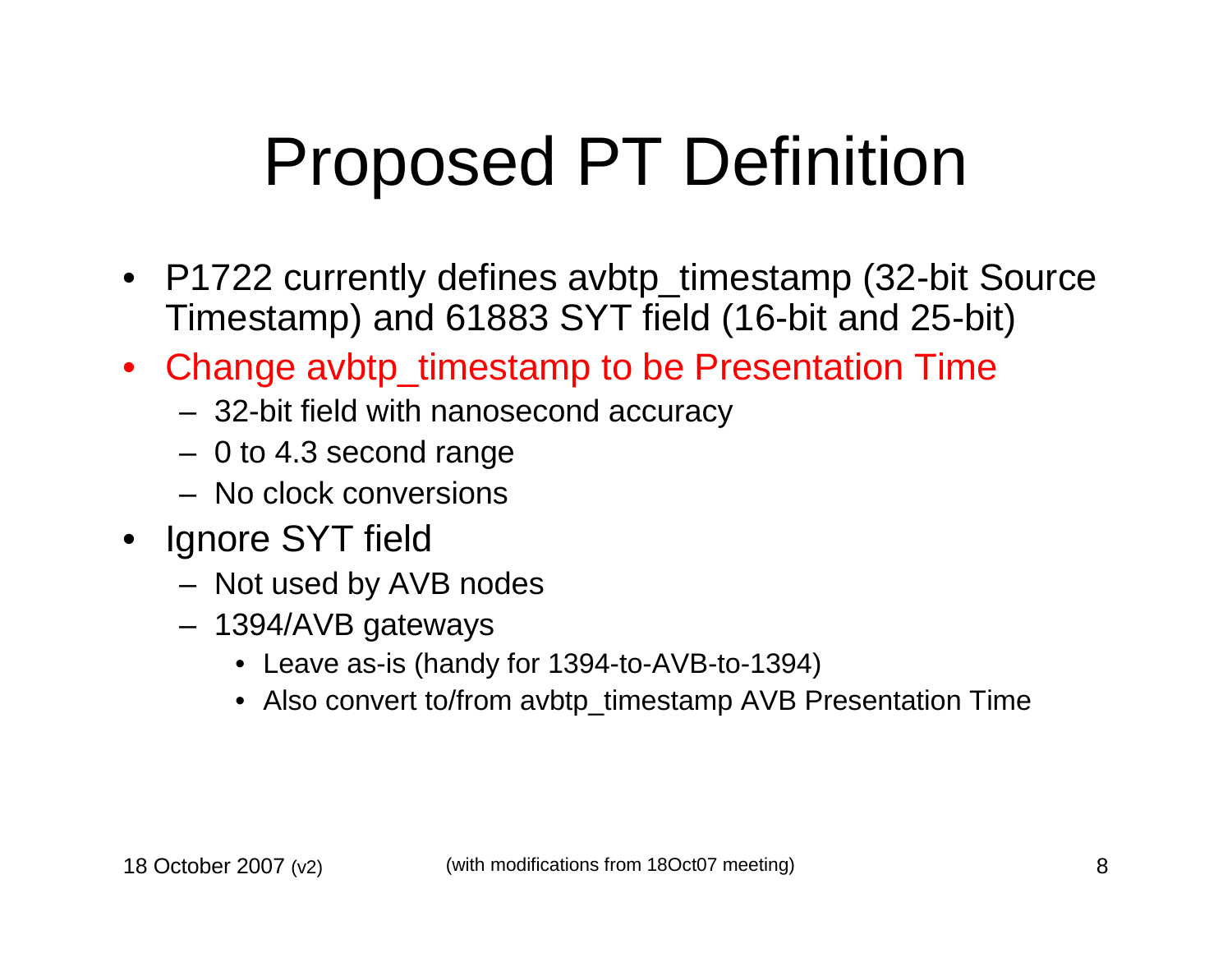## Proposed PT Definition

- P1722 currently defines avbtp\_timestamp (32-bit Source Timestamp) and 61883 SYT field (16-bit and 25-bit)
- Change avbtp\_timestamp to be Presentation Time
	- 32-bit field with nanosecond accuracy
	- 0 to 4.3 second range
	- No clock conversions
- Ignore SYT field
	- $-$  Not used by  $\Delta$ ' Not used by AVB nodes
	- 1394/AVB gateways
		- Leave as-is (handy for 1394-to-AVB-to-1394)
		- Also convert to/from avbtp\_timestamp AVB Presentation Time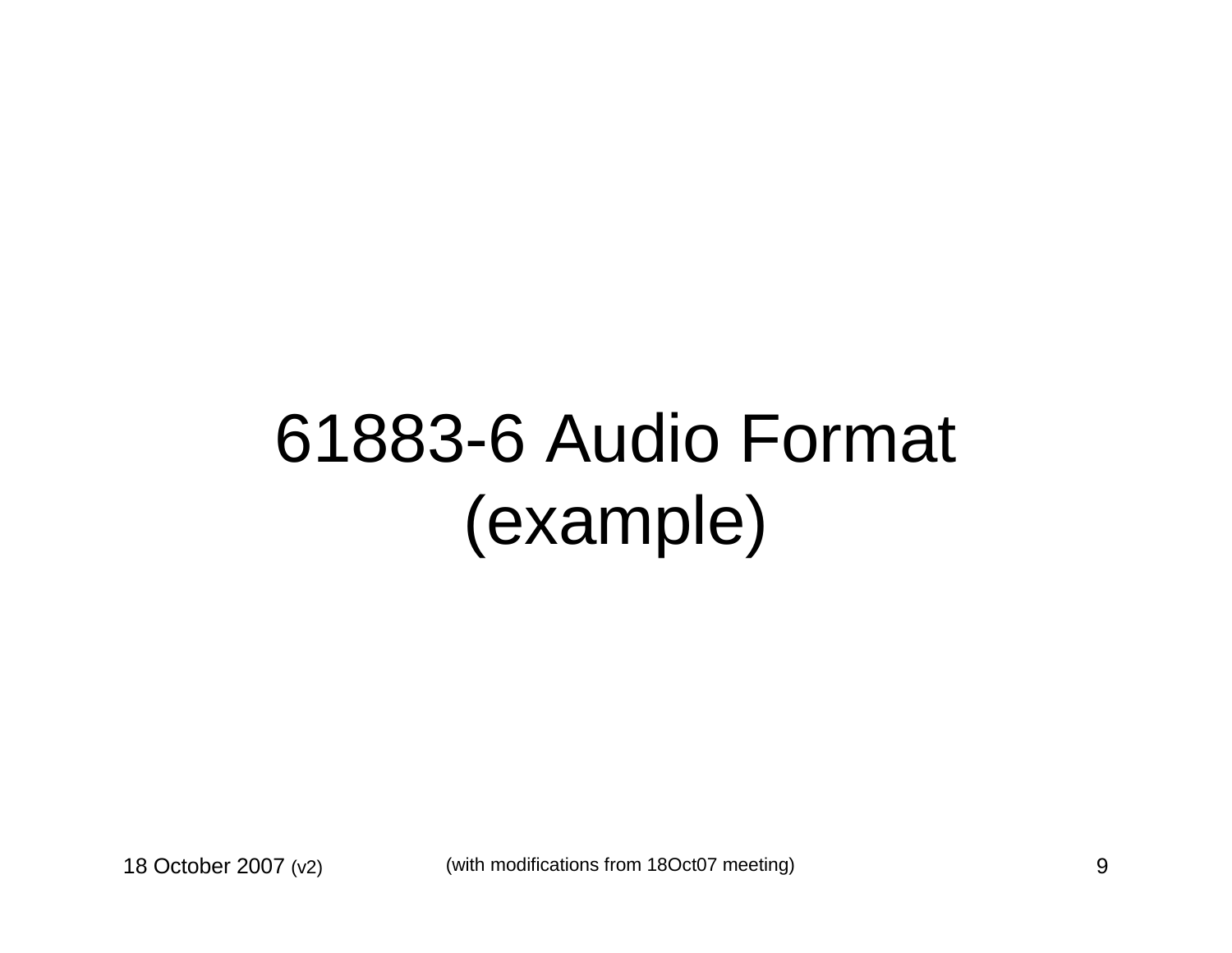### 61883-6 Audio Format (example)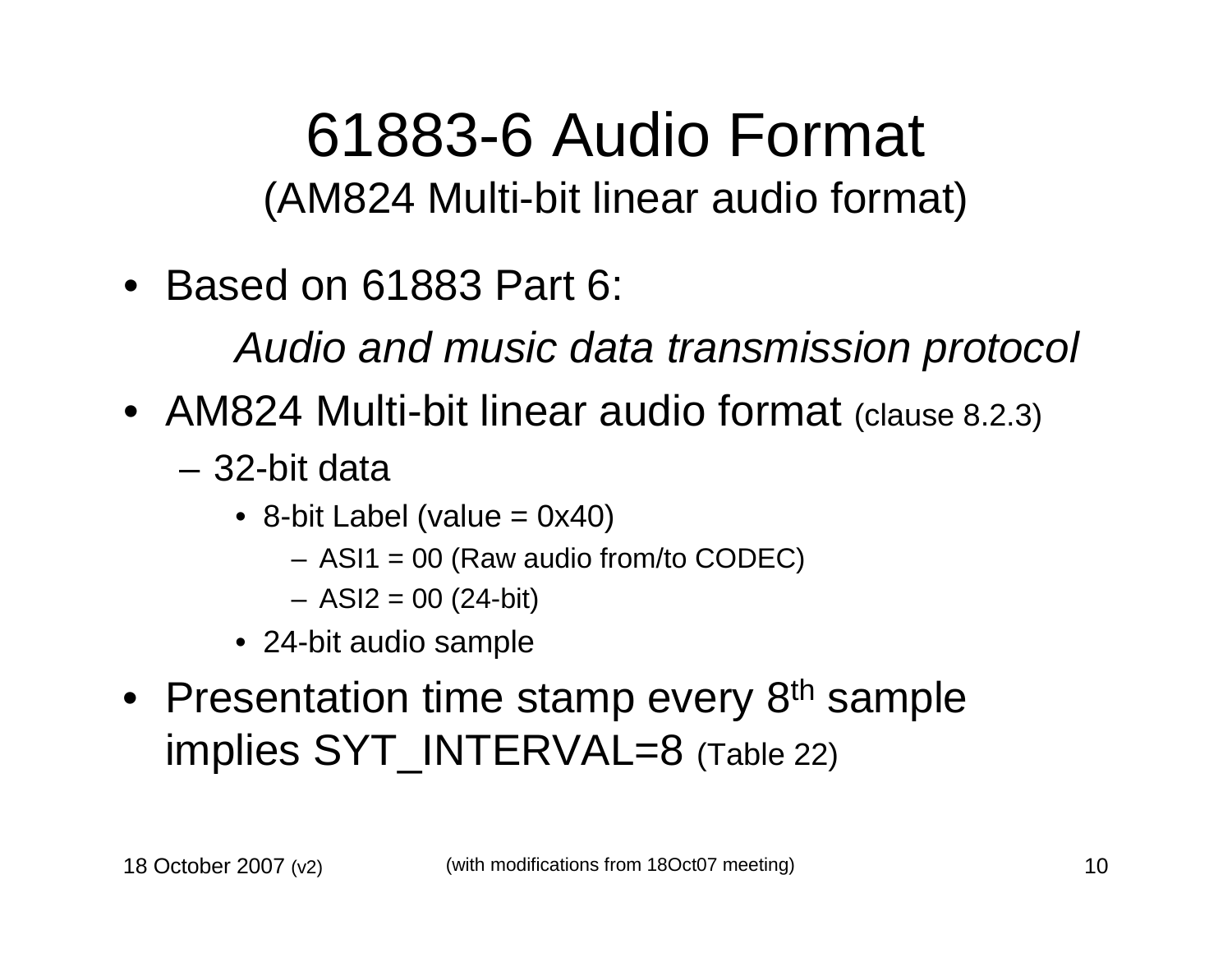#### 61883-6 Audio Format (AM824 Multi-bit linear audio format)

• Based on 61883 Part 6:

Audio and music data transmission protocol

- AM824 Multi-bit linear audio format (clause 8.2.3)
	- 32-bit data
		- 8-bit Label (value = 0x40)
			- ASI1 = 00 (Raw audio from/to CODEC)
			- ASI2 = 00 (24-bit)
		- 24-bit audio sample
- Presentation time stamp every 8<sup>th</sup> sample implies SYT\_INTERVAL=8 (Table 22)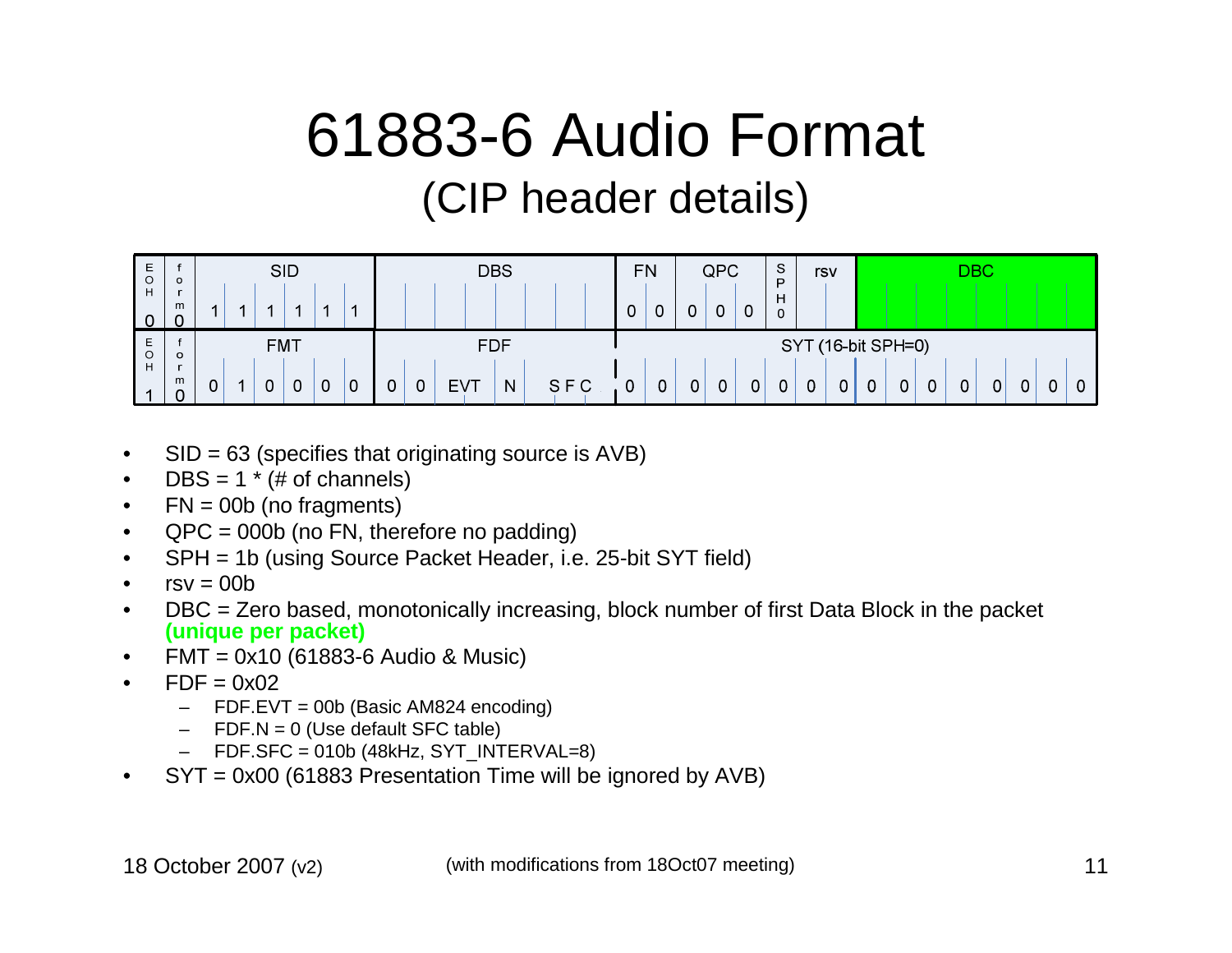### 61883-6 Audio Format (CIP header details)



- •SID = 63 (specifies that originating source is AVB)
- • $DBS = 1 * (# of channels)$
- • $FN = 00b$  (no fragments)
- QPC = 000b (no FN, therefore no padding)•
- SPH = 1b (using Source Packet Header, i.e. 25-bit SYT field)•
- • $rsv = 00b$
- DBC = Zero based, monotonically increasing, block number of first Data Block in the packet •**(unique per packet)**
- FMT = 0x10 (61883-6 Audio & Music)•
- • $FDF = 0x02$ 
	- FDF.EVT = 00b (Basic AM824 encoding)
	- –FDF.N = 0 (Use default SFC table)
	- FDF.SFC = 010b (48kHz, SYT\_INTERVAL=8)–
- SYT = 0x00 (61883 Presentation Time will be ignored by AVB)•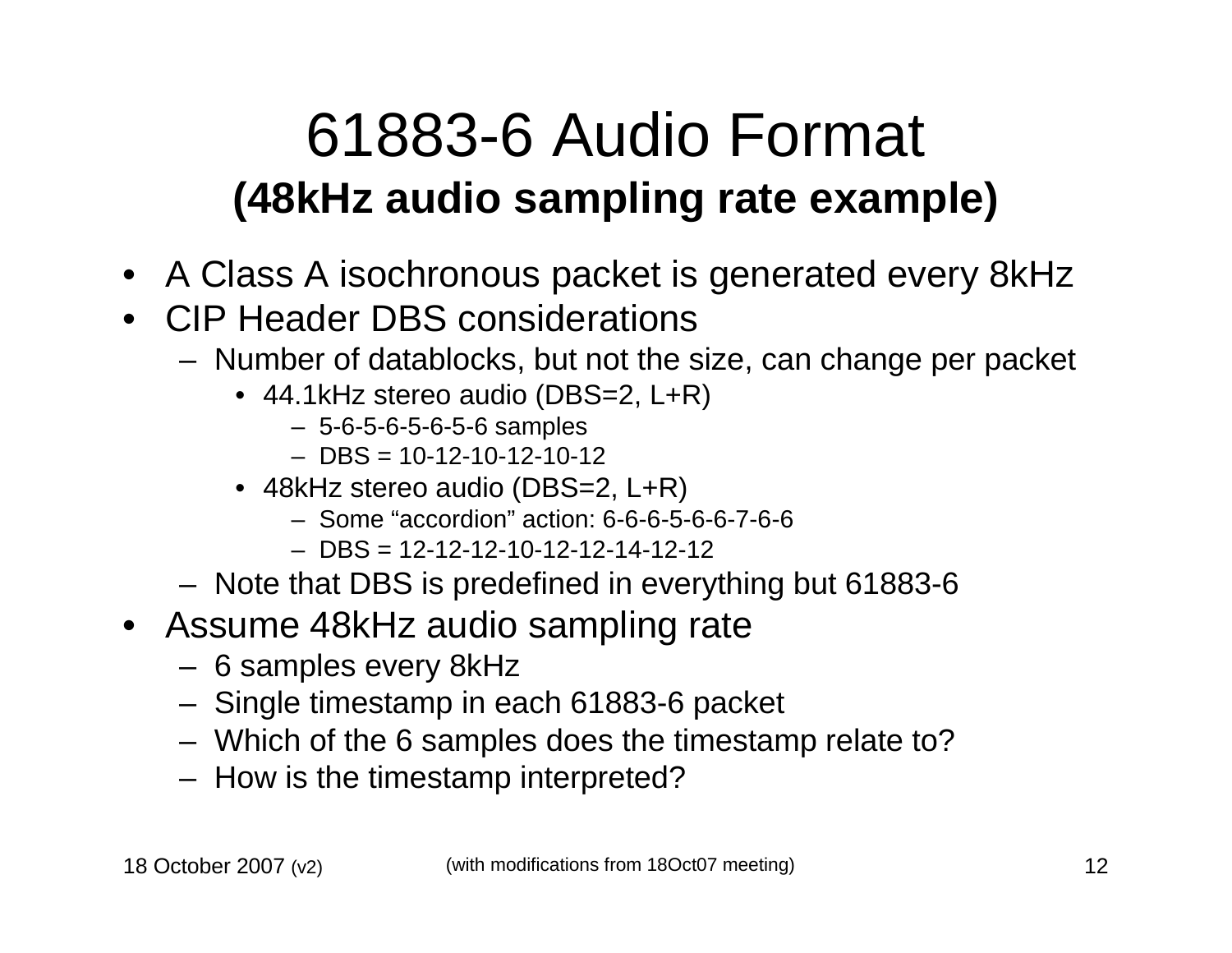#### 61883-6 Audio Format **(48kHz audio sampling rate example)**

- A Class A isochronous packet is generated every 8kHz
- CIP Header DBS considerations
	- $-$  Number of datablocks, but not the Number of datablocks, but not the size, can change per packet
		- 44.1kHz stereo audio (DBS=2, L+R)
			- 5-6-5-6-5-6-5-6 samples
			- DBS = 10-12-10-12-10-12
		- 48kHz stereo audio (DBS=2, L+R)
			- Some "accordion" action: 6-6-6-5-6-6-7-6-6
			- DBS = 12-12-12-10-12-12-14-12-12
	- Note that DBS is predefined in everything but 61883-6
- Assume 48kHz audio sampling rate
	- 6 samples every 8kHz
	- Singla timactamn in *c* Single timestamp in each 61883-6 packet
	- Which of the 6 samples does the timestamp relate to?
	- How is the timestamp interpreted?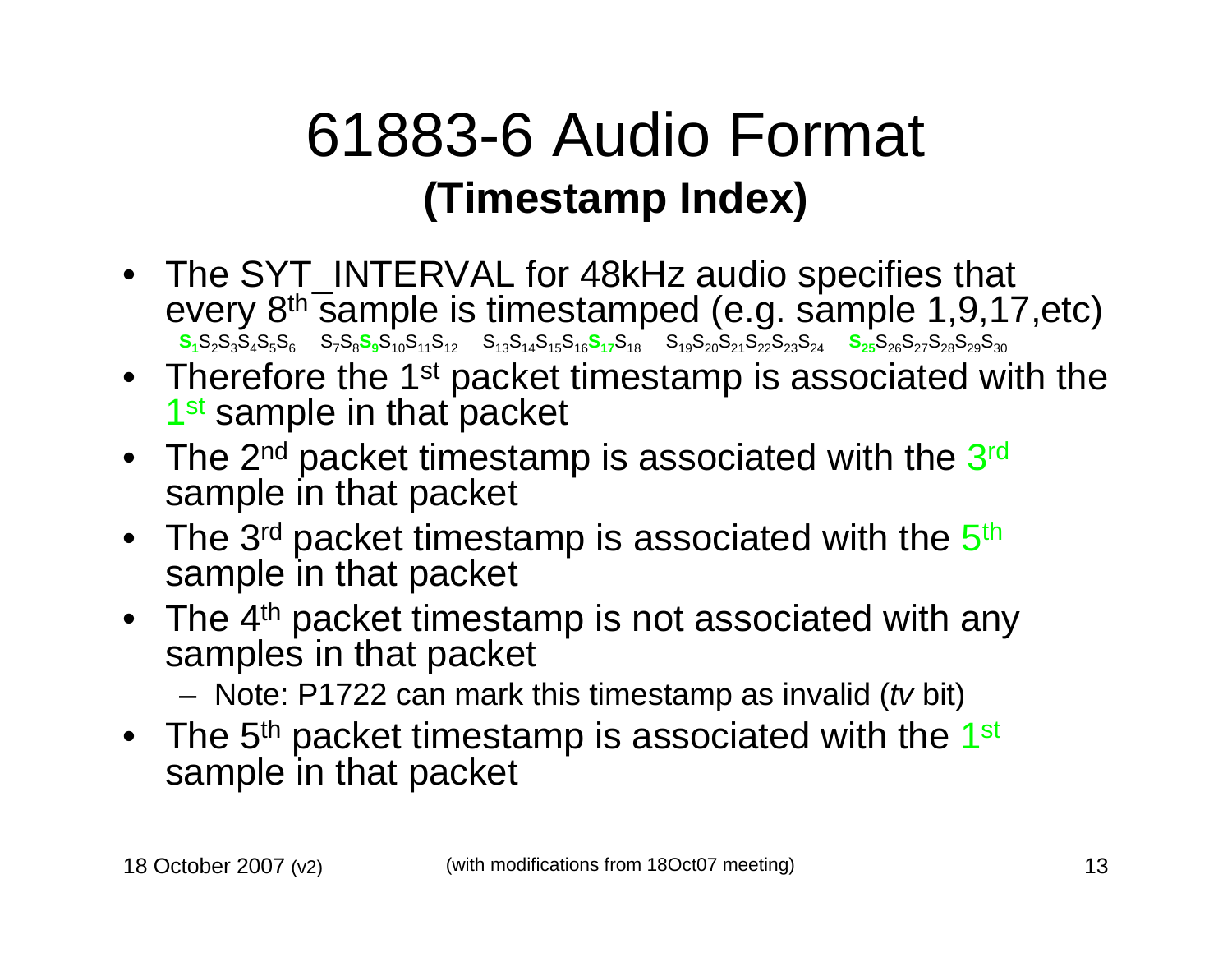#### 61883-6 Audio Format **(Timestamp Index)**

- The SYT\_INTERVAL for 48kHz audio specifies that every 8<sup>th</sup> sample is timestamped (e.g. sample 1,9,17,etc)  $\frac{\sqrt{118}}{118}$ S<sub>2</sub>S<sub>3</sub>S<sub>4</sub>S<sub>5</sub>S<sub>6</sub> S<sub>7</sub>S<sub>8</sub>S<sub>9</sub>S<sub>10</sub>S<sub>11</sub>S<sub>12</sub> S<sub>13</sub>S<sub>14</sub>S<sub>15</sub>S<sub>16</sub>S<sub>17</sub>S<sub>18</sub> S<sub>20</sub>S<sub>21</sub>S<sub>22</sub>S<sub>23</sub>S<sub>24</sub> S<sub>25</sub>S<sub>26</sub>S<sub>27</sub>S<sub>28</sub>S<sub>29</sub>S<sub>30</sub>
- Therefore the 1<sup>st</sup> packet timestamp is associated with the 1<sup>st</sup> sample in that packet
- The 2 $^{\sf nd}$  packet timestamp is associated with the 3 $^{\sf rd}$ sample in that packet
- $\bullet~$  The 3rd packet timestamp is associated with the  $5^{\text{th}}$ sample in that packet
- The 4<sup>th</sup> packet timestamp is not associated with any samples in that packet
	- Note: P1722 can mark this timestamp as invalid (tv bit)
- The 5<sup>th</sup> packet timestamp is associated with the 1<sup>st</sup> sample in that packet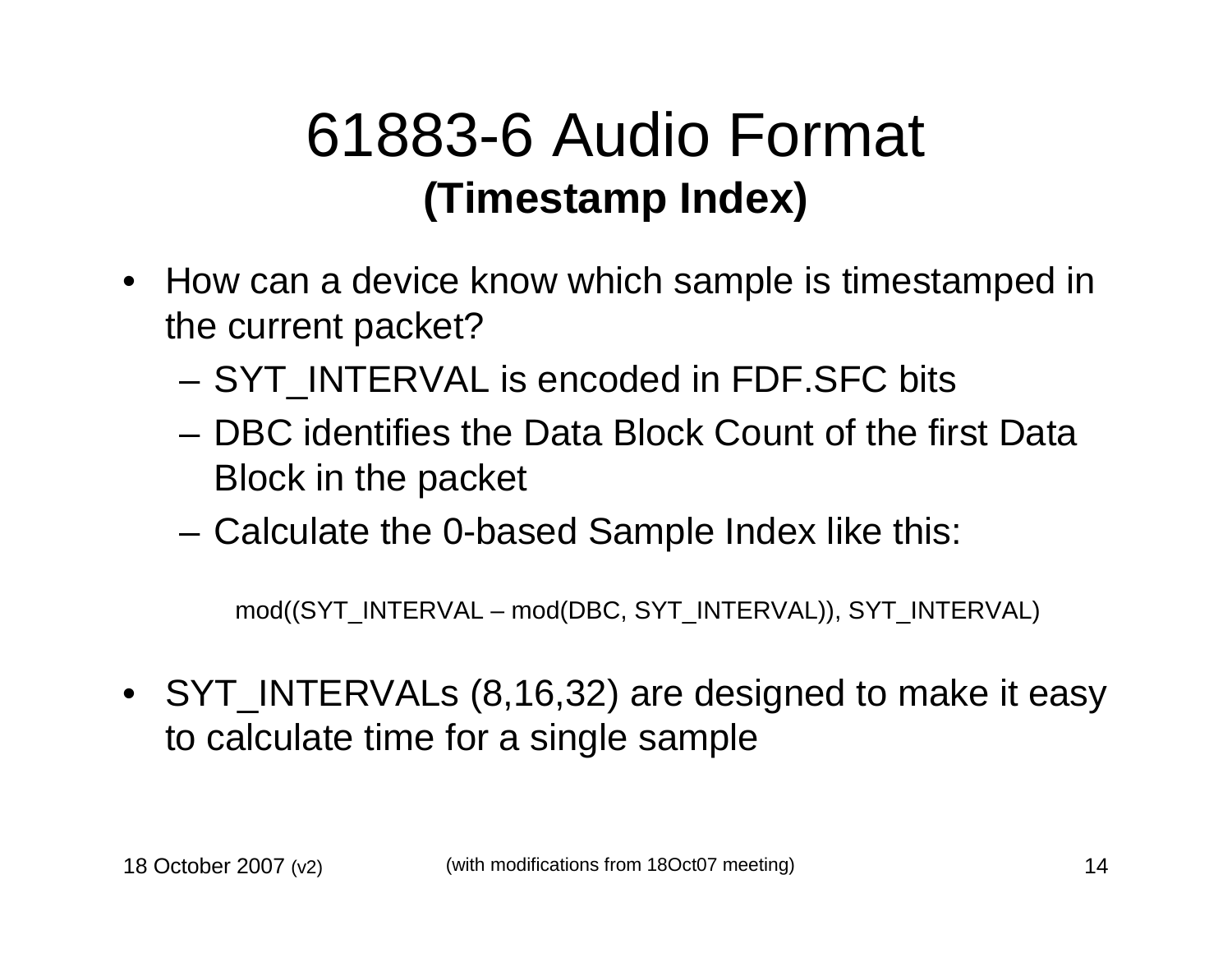#### 61883-6 Audio Format **(Timestamp Index)**

- How can a device know which sample is timestamped in the current packet?
	- SYT\_INTERVAL is encoded in FDF.SFC bits
	- DBC identifies the Data Block Count of the first Data Block in the packet
	- –Calculate the 0-based Sample Index like this:

mod((SYT\_INTERVAL – mod(DBC, SYT\_INTERVAL)), SYT\_INTERVAL)

• SYT\_INTERVALs (8,16,32) are designed to make it easy to calculate time for a single sample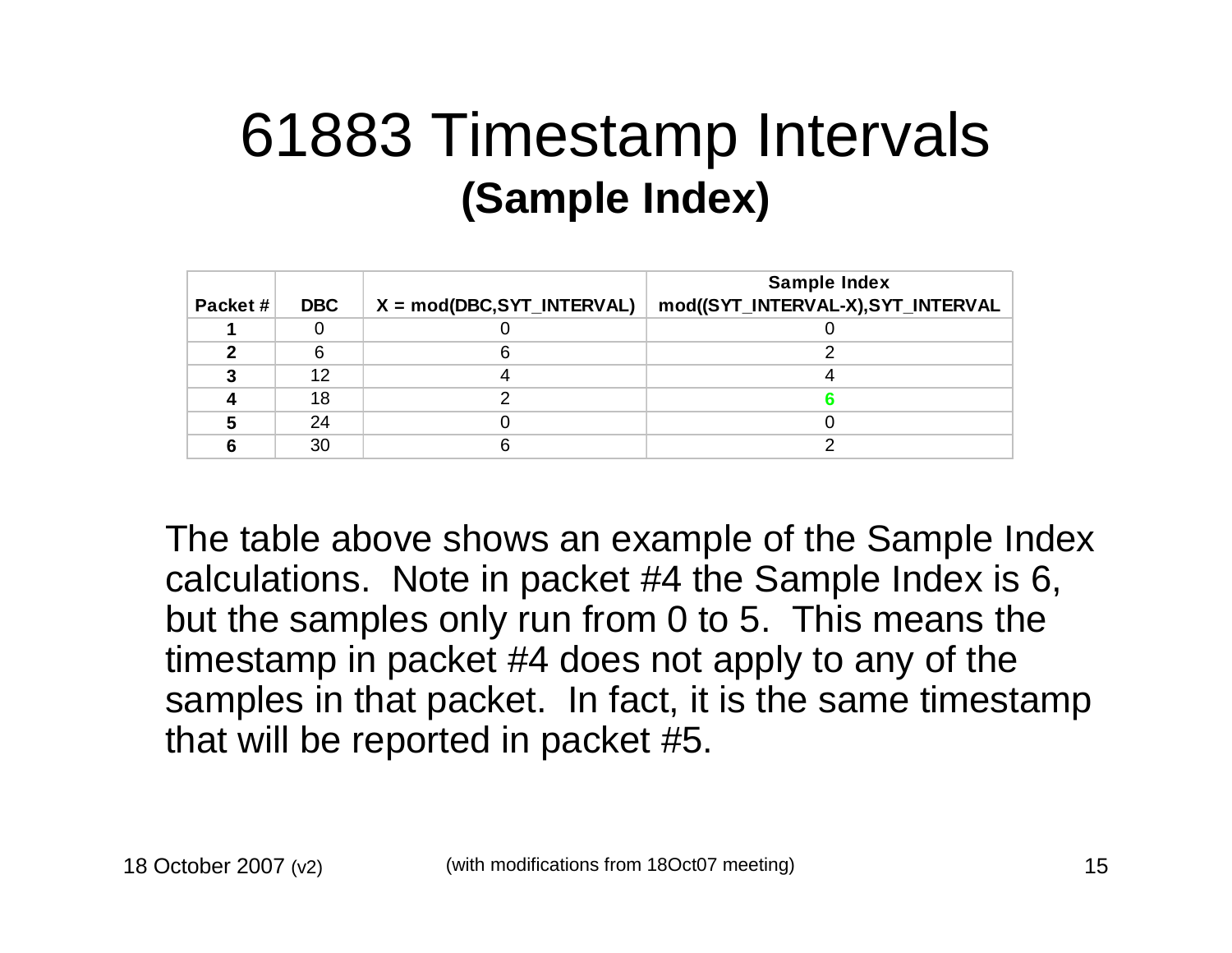#### 61883 Timestamp Intervals **(Sample Index)**

|         |            |                              | <b>Sample Index</b>                |
|---------|------------|------------------------------|------------------------------------|
| Packet# | <b>DBC</b> | $X = mod(DBC, SYT_INTERVAL)$ | mod((SYT_INTERVAL-X), SYT_INTERVAL |
|         |            |                              |                                    |
|         |            |                              |                                    |
|         | 12         |                              |                                    |
|         | 18         |                              |                                    |
|         | 24         |                              |                                    |
|         | 30         |                              |                                    |

The table above shows an example of the Sample Index calculations. Note in packet #4 the Sample Index is 6, but the samples only run from 0 to 5. This means the timestamp in packet #4 does not apply to any of the samples in that packet. In fact, it is the same timestamp that will be reported in packet #5.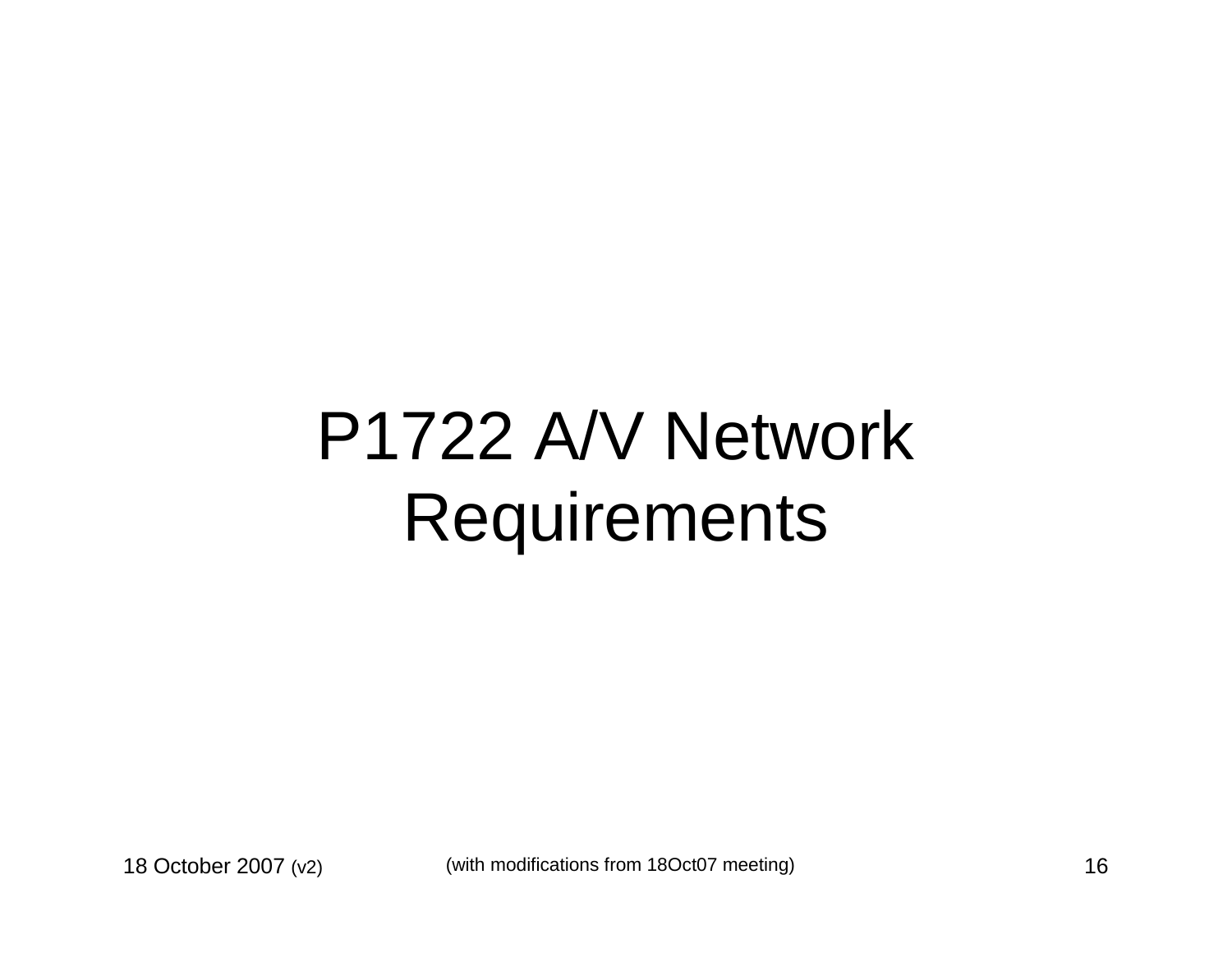### P1722 A/V Network Requirements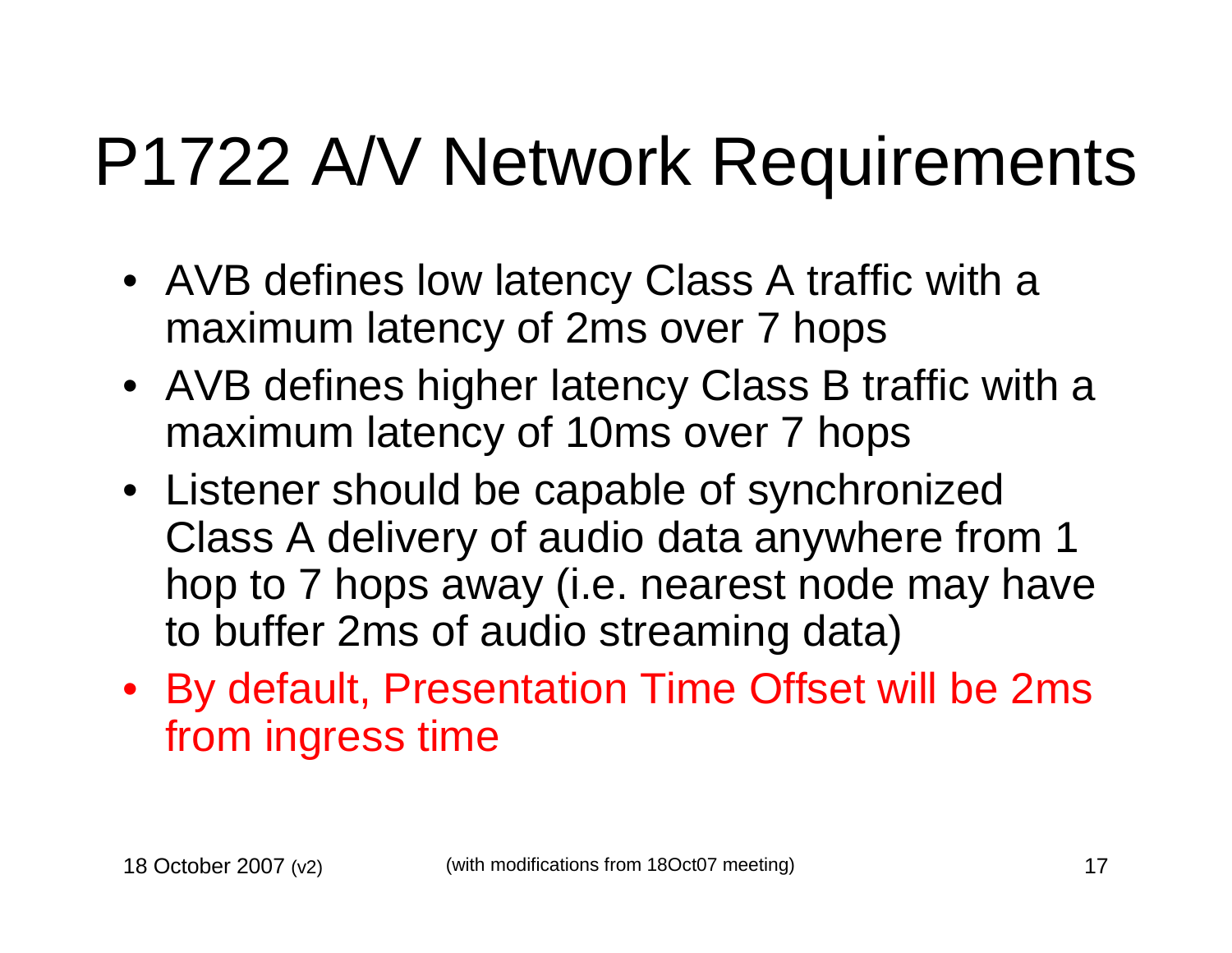### P1722 A/V Network Requirements

- AVB defines low latency Class A traffic with a maximum latency of 2ms over 7 hops
- AVB defines higher latency Class B traffic with a maximum latency of 10ms over 7 hops
- Listener should be capable of synchronized Class A delivery of audio data anywhere from 1 hop to 7 hops away (i.e. nearest node may have to buffer 2ms of audio streaming data)
- By default, Presentation Time Offset will be 2ms from ingress time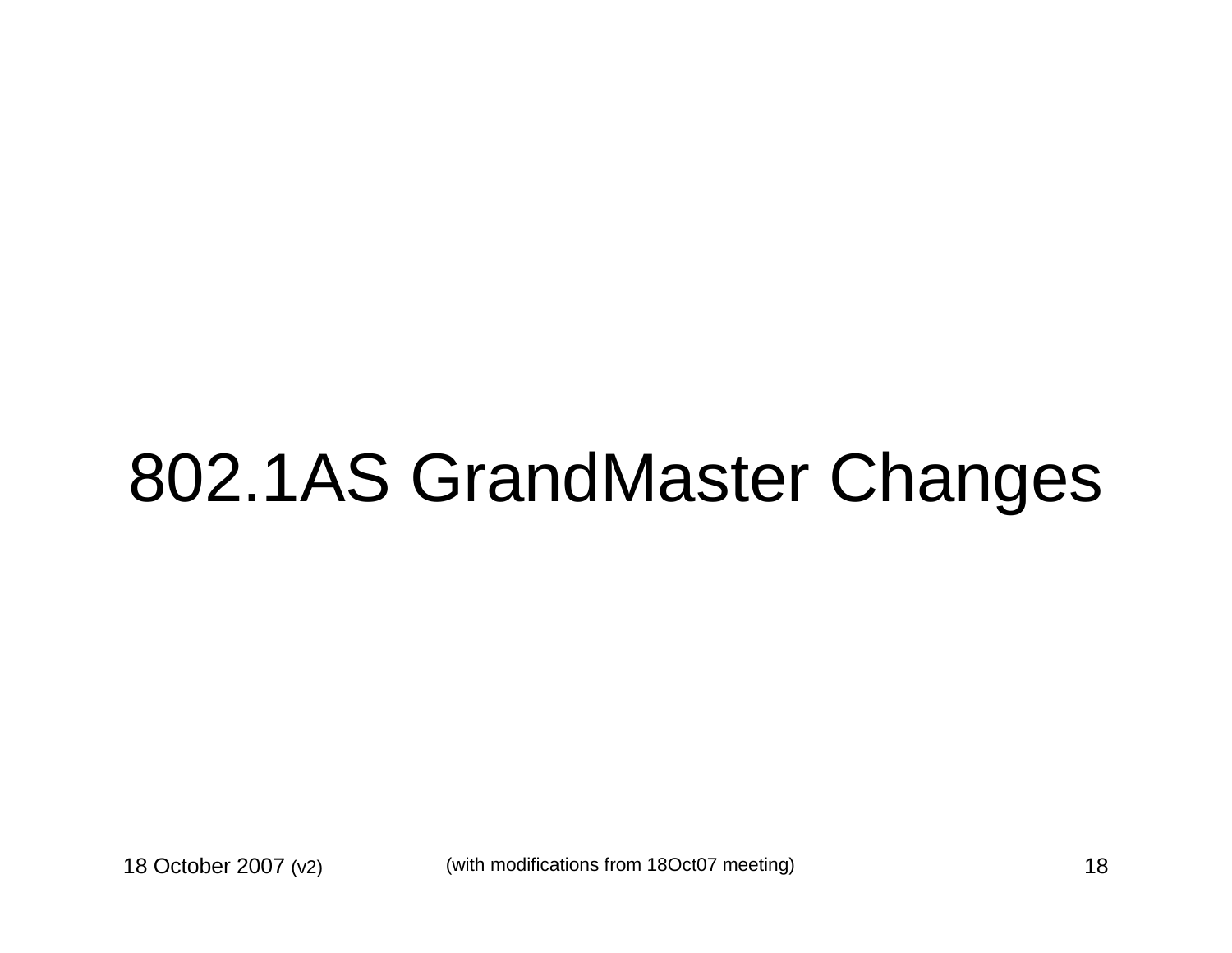### 802.1AS GrandMaster Changes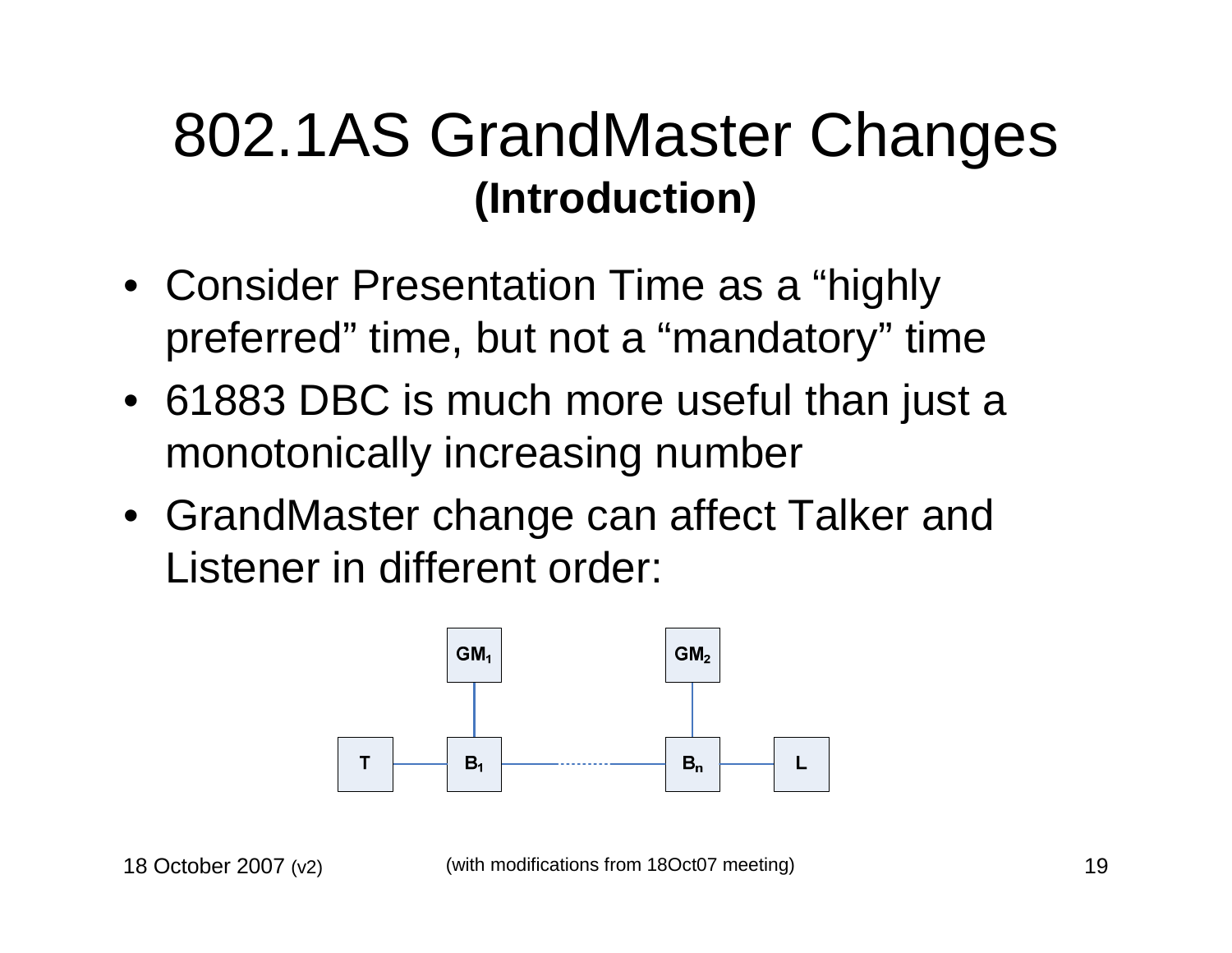#### 802.1AS GrandMaster Changes **(Introduction)**

- Consider Presentation Time as a "highly preferred" time, but not a "mandatory" time
- 61883 DBC is much more useful than just a monotonically increasing number
- GrandMaster change can affect Talker and Listener in different order:

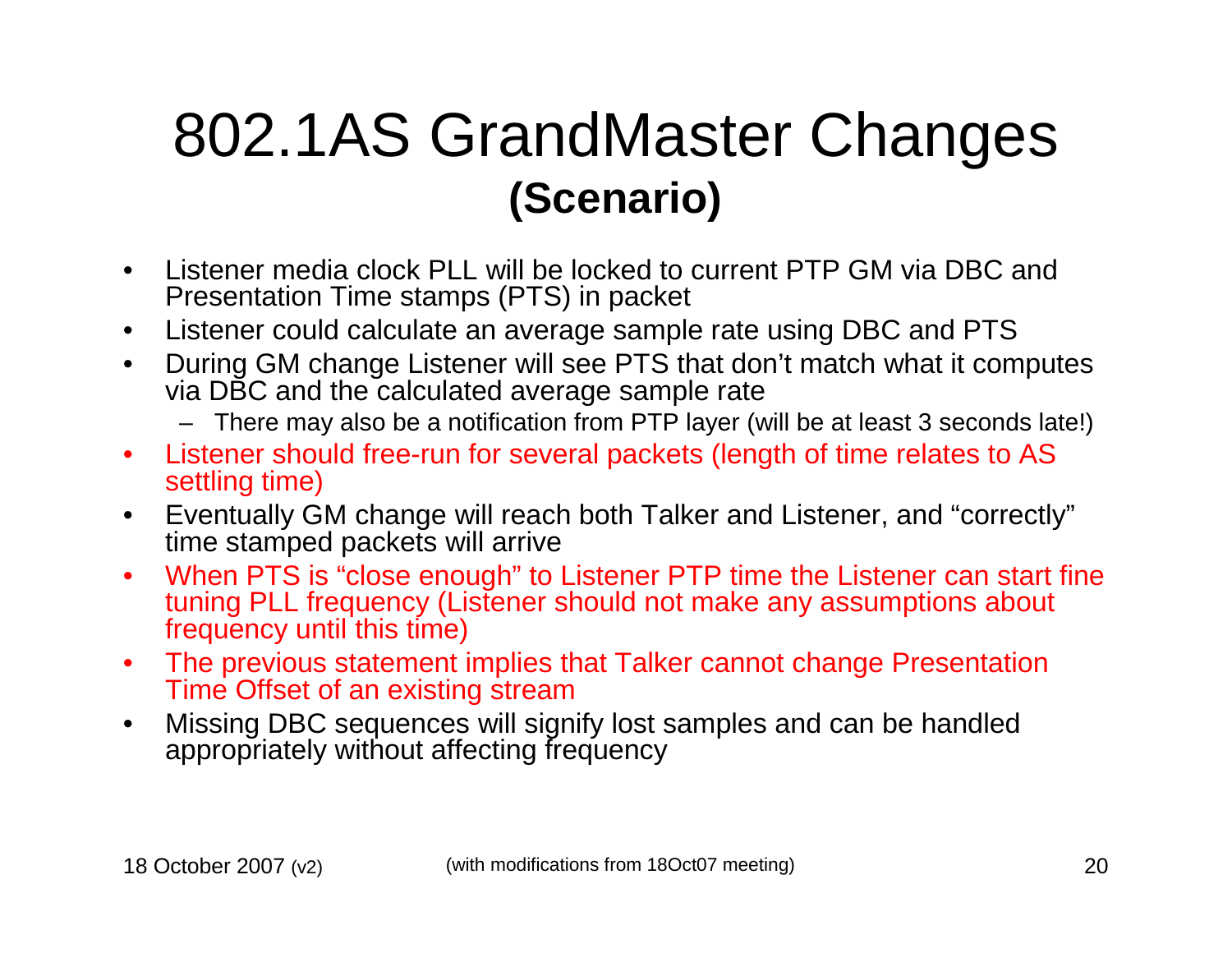#### 802.1AS GrandMaster Changes **(Scenario)**

- $\bullet$  Listener media clock PLL will be locked to current PTP GM via DBC and Presentation Time stamps (PTS) in packet
- $\bullet$ Listener could calculate an average sample rate using DBC and PTS
- During GM change Listener will see PTS that don't match what it computes  $\bullet$ via DBC and the calculated average sample rate
	- There may also be a notification from PTP layer (will be at least 3 seconds late!)
- $\bullet$  Listener should free-run for several packets (length of time relates to AS settling time)
- Eventually GM change will reach both Talker and Listener, and "correctly" $\bullet$ time stamped packets will arrive
- When PTS is "close enough" to Listener PTP time the Listener can start fine  $\bullet$ tuning PLL frequency (Listener should not make any assumptions about frequency until this time)
- The previous statement implies that Talker cannot change Presentation  $\bullet$ Time Offset of an existing stream
- Missing DBC sequences will signify lost samples and can be handled  $\bullet$ appropriately without affecting frequency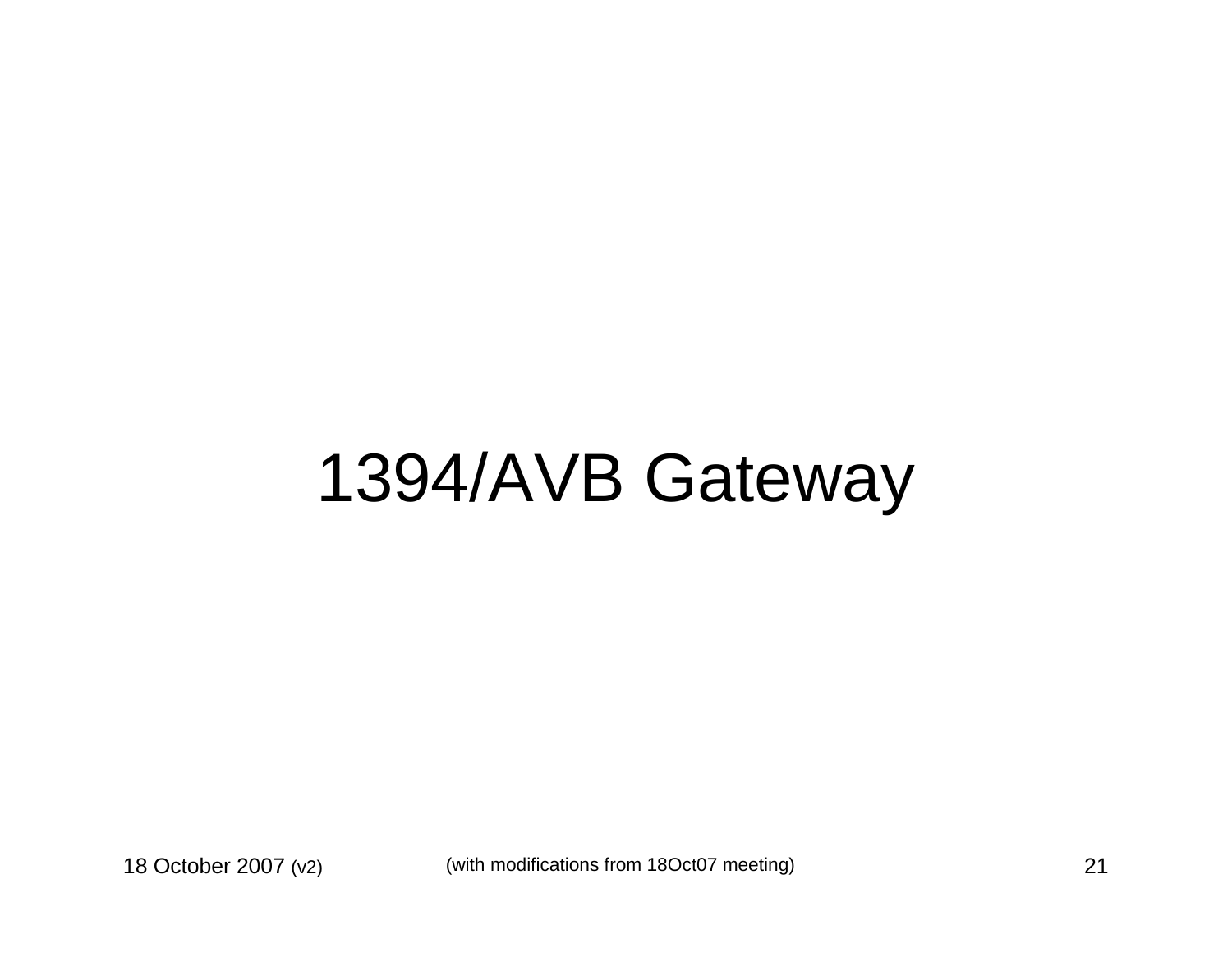### 1394/AVB Gateway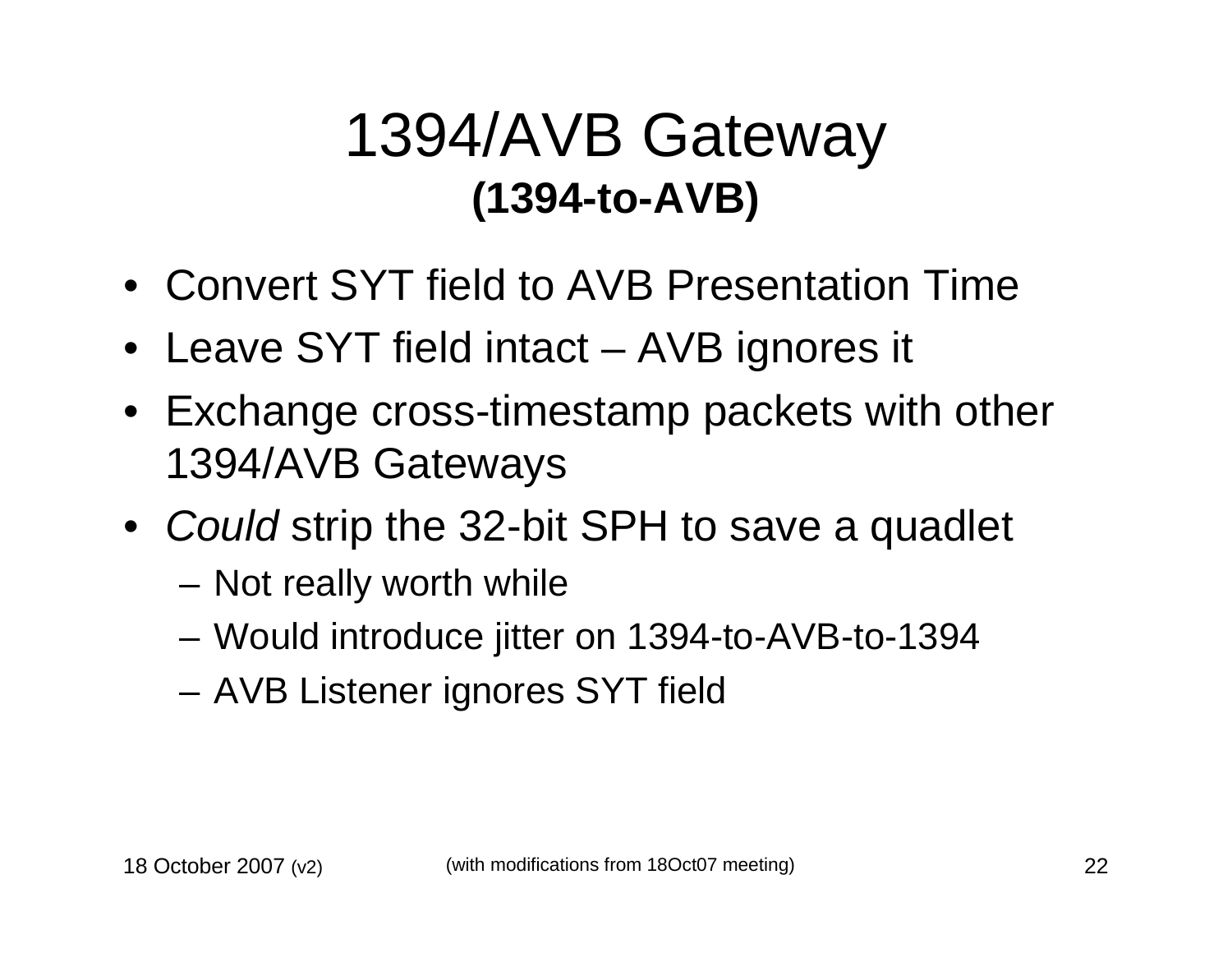#### 1394/AVB Gateway **(1394-to-AVB)**

- Convert SYT field to AVB Presentation Time
- Leave SYT field intact AVB ignores it
- Exchange cross-timestamp packets with other 1394/AVB Gateways
- Could strip the 32-bit SPH to save a quadlet
	- Not really worth while
	- Would introduce jitter on 1394-to-AVB-to-1394
	- AVB Listener ignores SYT field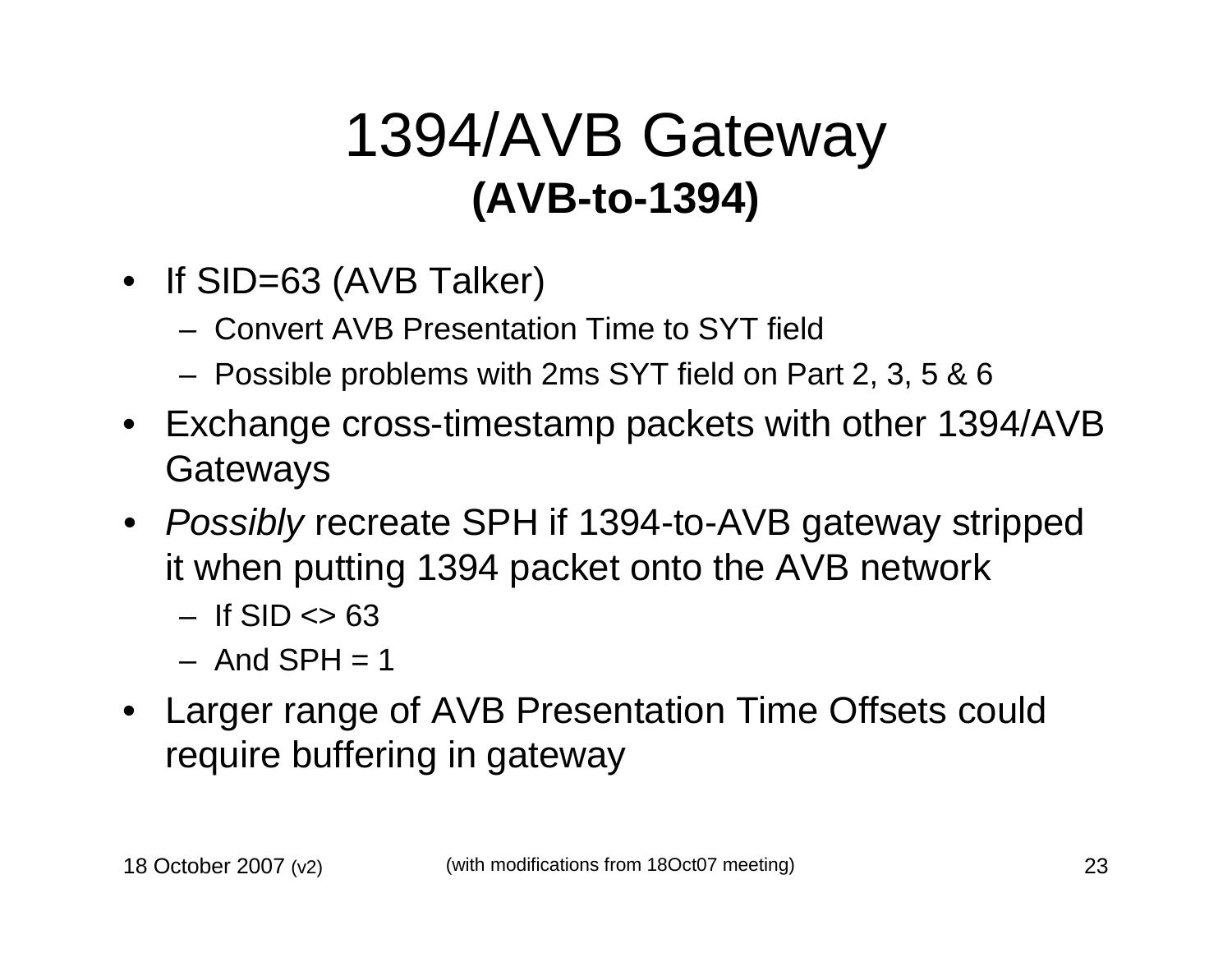#### 1394/AVB Gateway **(AVB-to-1394)**

- If SID=63 (AVB Talker)
	- Convert AVB Presentation Time to SYT field
	- Possible problems with 2ms SYT field on Part 2, 3, 5 & 6
- Exchange cross-timestamp packets with other 1394/AVB **Gateways**
- Possibly recreate SPH if 1394-to-AVB gateway stripped it when putting 1394 packet onto the AVB network
	- If  $\text{SID} \ll 63$
	- And  $SPH = 1$
- Larger range of AVB Presentation Time Offsets could require buffering in gateway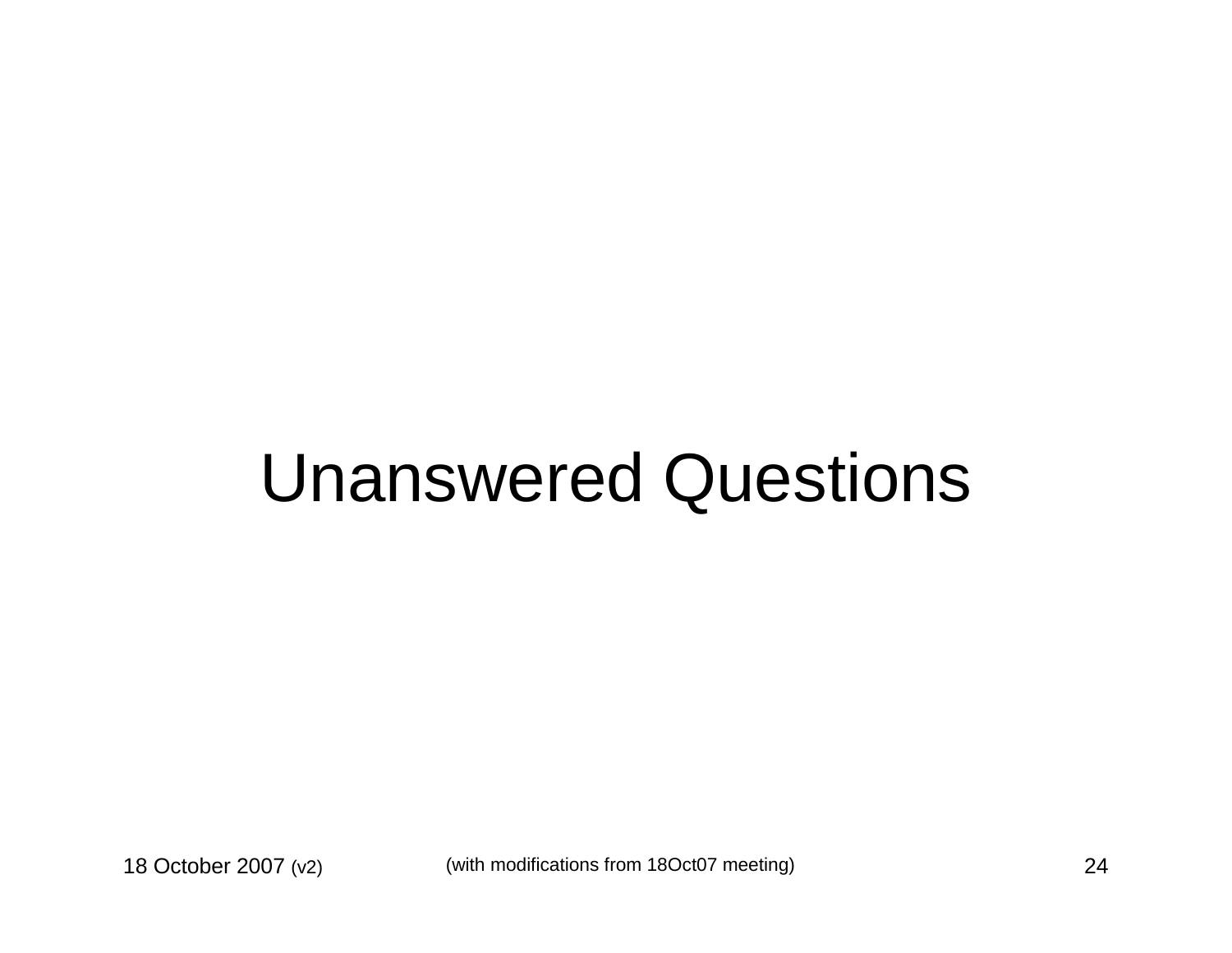### Unanswered Questions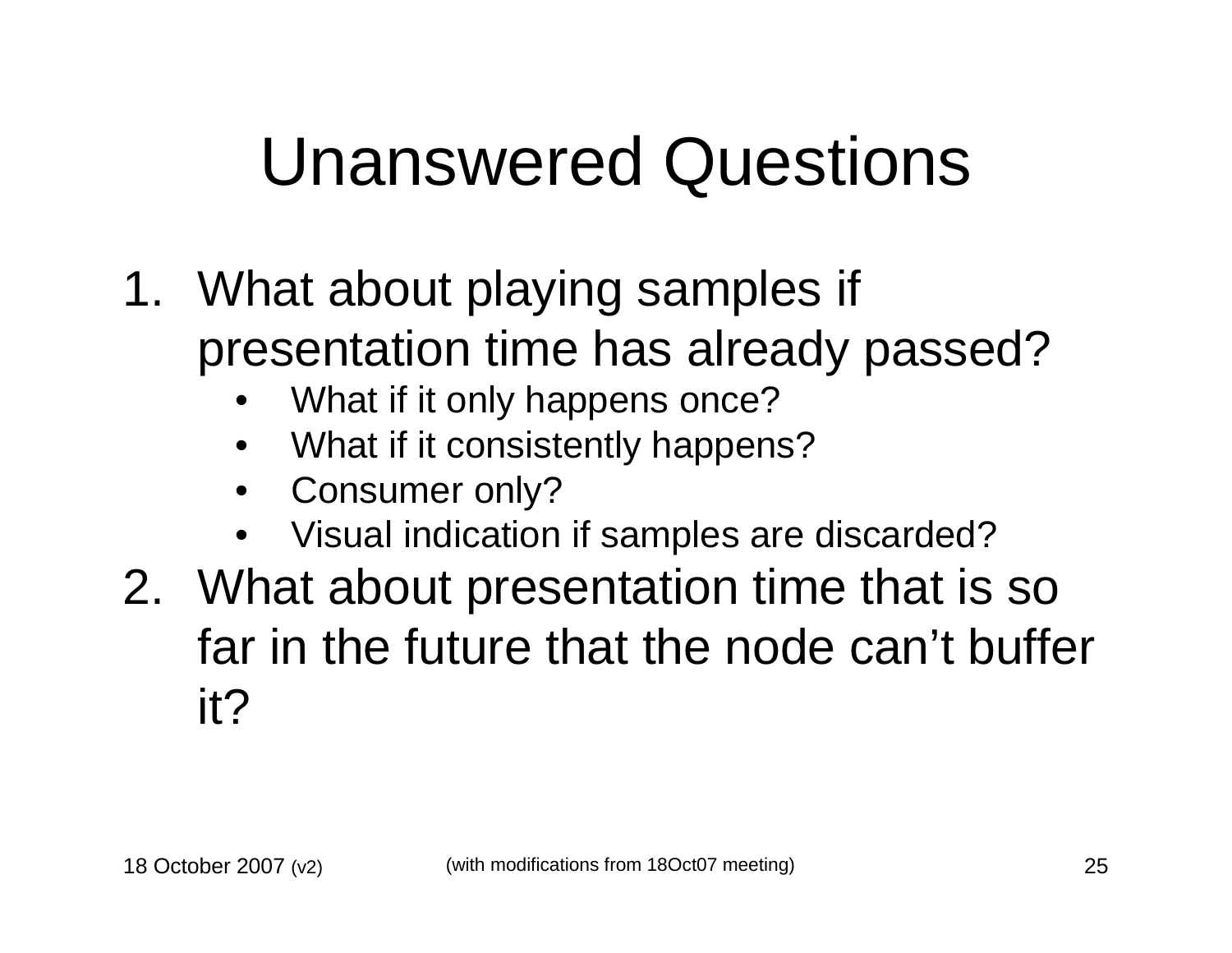### Unanswered Questions

- 1. What about playing samples if presentation time has already passed?
	- •What if it only happens once?
	- What if it consistently happens?•
	- •Consumer only?
	- Visual indication if samples are discarded?•
- 2. What about presentation time that is so far in the future that the node can't buffer it?